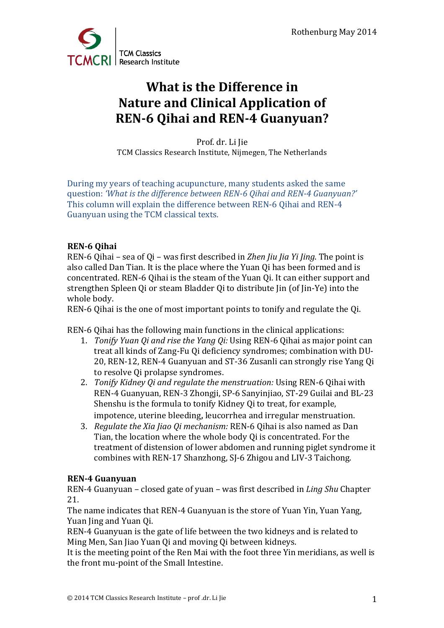

## **What is the Difference in Nature and Clinical Application of REN-6 Oihai and REN-4 Guanyuan?**

Prof. dr. Li Jie TCM Classics Research Institute, Nijmegen, The Netherlands

During my years of teaching acupuncture, many students asked the same question: *'What is the difference between REN-6 Qihai and REN-4 Guanyuan?'* This column will explain the difference between REN-6 Qihai and REN-4 Guanyuan using the TCM classical texts.

## **REN-6 Qihai**

REN-6 Qihai – sea of Qi – was first described in *Zhen Jiu Jia Yi Jing*. The point is also called Dan Tian. It is the place where the Yuan Oi has been formed and is concentrated. REN-6 Oihai is the steam of the Yuan Oi. It can either support and strengthen Spleen Qi or steam Bladder Qi to distribute Jin (of Jin-Ye) into the whole body.

REN-6 Oihai is the one of most important points to tonify and regulate the Oi.

REN-6 Qihai has the following main functions in the clinical applications:

- 1. *Tonify Yuan Qi and rise the Yang Qi:* Using REN-6 Qihai as major point can treat all kinds of Zang-Fu Qi deficiency syndromes; combination with DU-20, REN-12, REN-4 Guanyuan and ST-36 Zusanli can strongly rise Yang Qi to resolve Oi prolapse syndromes.
- 2. *Tonify Kidney Oi and regulate the menstruation:* Using REN-6 Oihai with REN-4 Guanyuan, REN-3 Zhongji, SP-6 Sanyinjiao, ST-29 Guilai and BL-23 Shenshu is the formula to tonify Kidney Qi to treat, for example, impotence, uterine bleeding, leucorrhea and irregular menstruation.
- 3. *Regulate the Xia Jiao Qi mechanism:* REN-6 Oihai is also named as Dan Tian, the location where the whole body Oi is concentrated. For the treatment of distension of lower abdomen and running piglet syndrome it combines with REN-17 Shanzhong, SJ-6 Zhigou and LIV-3 Taichong.

## **REN-4 Guanyuan**

REN-4 Guanyuan – closed gate of yuan – was first described in *Ling Shu* Chapter 21. 

The name indicates that REN-4 Guanyuan is the store of Yuan Yin, Yuan Yang, Yuan ling and Yuan Oi.

REN-4 Guanyuan is the gate of life between the two kidneys and is related to Ming Men, San Jiao Yuan Qi and moving Qi between kidneys.

It is the meeting point of the Ren Mai with the foot three Yin meridians, as well is the front mu-point of the Small Intestine.